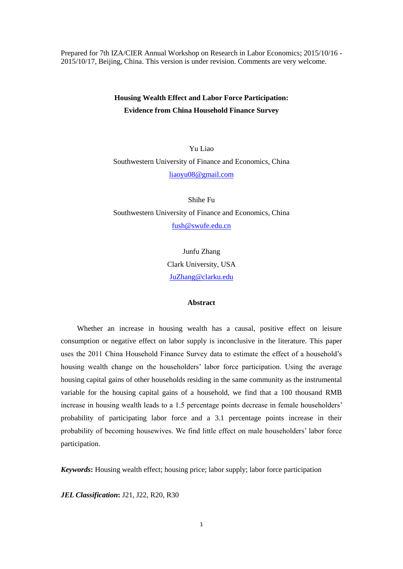Prepared for 7th IZA/CIER Annual Workshop on Research in Labor Economics; 2015/10/16 - 2015/10/17, Beijing, China. This version is under revision. Comments are very welcome.

# **Housing Wealth Effect and Labor Force Participation: Evidence from China Household Finance Survey**

Yu Liao Southwestern University of Finance and Economics, China [liaoyu08@gmail.com](mailto:liaoyu08@gmail.com)

Shihe Fu Southwestern University of Finance and Economics, China [fush@swufe.edu.cn](mailto:fush@swufe.edu.cn)

> Junfu Zhang Clark University, USA [JuZhang@clarku.edu](mailto:JuZhang@clarku.edu)

#### **Abstract**

Whether an increase in housing wealth has a causal, positive effect on leisure consumption or negative effect on labor supply is inconclusive in the literature. This paper uses the 2011 China Household Finance Survey data to estimate the effect of a household's housing wealth change on the householders' labor force participation. Using the average housing capital gains of other households residing in the same community as the instrumental variable for the housing capital gains of a household, we find that a 100 thousand RMB increase in housing wealth leads to a 1.5 percentage points decrease in female householders' probability of participating labor force and a 3.1 percentage points increase in their probability of becoming housewives. We find little effect on male householders' labor force participation.

*Keywords***:** Housing wealth effect; housing price; labor supply; labor force participation

*JEL Classification***:** J21, J22, R20, R30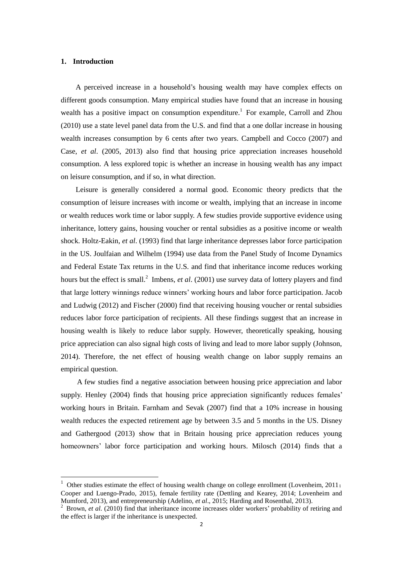#### **1. Introduction**

 $\overline{\phantom{a}}$ 

A perceived increase in a household's housing wealth may have complex effects on different goods consumption. Many empirical studies have found that an increase in housing wealth has a positive impact on consumption expenditure.<sup>1</sup> For example, Carroll and Zhou (2010) use a state level panel data from the U.S. and find that a one dollar increase in housing wealth increases consumption by 6 cents after two years. Campbell and Cocco (2007) and Case, *et al*. (2005, 2013) also find that housing price appreciation increases household consumption. A less explored topic is whether an increase in housing wealth has any impact on leisure consumption, and if so, in what direction.

Leisure is generally considered a normal good. Economic theory predicts that the consumption of leisure increases with income or wealth, implying that an increase in income or wealth reduces work time or labor supply. A few studies provide supportive evidence using inheritance, lottery gains, housing voucher or rental subsidies as a positive income or wealth shock. Holtz-Eakin, *et al*. (1993) find that large inheritance depresses labor force participation in the US. Joulfaian and Wilhelm (1994) use data from the Panel Study of Income Dynamics and Federal Estate Tax returns in the U.S. and find that inheritance income reduces working hours but the effect is small.<sup>2</sup> Imbens, *et al.* (2001) use survey data of lottery players and find that large lottery winnings reduce winners' working hours and labor force participation. Jacob and Ludwig (2012) and Fischer (2000) find that receiving housing voucher or rental subsidies reduces labor force participation of recipients. All these findings suggest that an increase in housing wealth is likely to reduce labor supply. However, theoretically speaking, housing price appreciation can also signal high costs of living and lead to more labor supply (Johnson, 2014). Therefore, the net effect of housing wealth change on labor supply remains an empirical question.

A few studies find a negative association between housing price appreciation and labor supply. Henley (2004) finds that housing price appreciation significantly reduces females' working hours in Britain. Farnham and Sevak (2007) find that a 10% increase in housing wealth reduces the expected retirement age by between 3.5 and 5 months in the US. Disney and Gathergood (2013) show that in Britain housing price appreciation reduces young homeowners' labor force participation and working hours. Milosch (2014) finds that a

<sup>1</sup> Other studies estimate the effect of housing wealth change on college enrollment (Lovenheim, 2011; Cooper and Luengo-Prado, 2015), female fertility rate (Dettling and Kearey, 2014; Lovenheim and Mumford, 2013), and entrepreneurship (Adelino, *et al*., 2015; Harding and Rosenthal, 2013).

<sup>&</sup>lt;sup>2</sup> Brown, *et al.* (2010) find that inheritance income increases older workers' probability of retiring and the effect is larger if the inheritance is unexpected.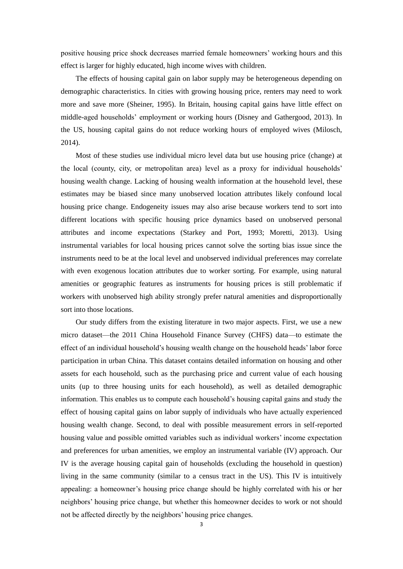positive housing price shock decreases married female homeowners' working hours and this effect is larger for highly educated, high income wives with children.

 The effects of housing capital gain on labor supply may be heterogeneous depending on demographic characteristics. In cities with growing housing price, renters may need to work more and save more (Sheiner, 1995). In Britain, housing capital gains have little effect on middle-aged households' employment or working hours (Disney and Gathergood, 2013). In the US, housing capital gains do not reduce working hours of employed wives (Milosch, 2014).

Most of these studies use individual micro level data but use housing price (change) at the local (county, city, or metropolitan area) level as a proxy for individual households' housing wealth change. Lacking of housing wealth information at the household level, these estimates may be biased since many unobserved location attributes likely confound local housing price change. Endogeneity issues may also arise because workers tend to sort into different locations with specific housing price dynamics based on unobserved personal attributes and income expectations (Starkey and Port, 1993; Moretti, 2013). Using instrumental variables for local housing prices cannot solve the sorting bias issue since the instruments need to be at the local level and unobserved individual preferences may correlate with even exogenous location attributes due to worker sorting. For example, using natural amenities or geographic features as instruments for housing prices is still problematic if workers with unobserved high ability strongly prefer natural amenities and disproportionally sort into those locations.

Our study differs from the existing literature in two major aspects. First, we use a new micro dataset—the 2011 China Household Finance Survey (CHFS) data—to estimate the effect of an individual household's housing wealth change on the household heads' labor force participation in urban China. This dataset contains detailed information on housing and other assets for each household, such as the purchasing price and current value of each housing units (up to three housing units for each household), as well as detailed demographic information. This enables us to compute each household's housing capital gains and study the effect of housing capital gains on labor supply of individuals who have actually experienced housing wealth change. Second, to deal with possible measurement errors in self-reported housing value and possible omitted variables such as individual workers' income expectation and preferences for urban amenities, we employ an instrumental variable (IV) approach. Our IV is the average housing capital gain of households (excluding the household in question) living in the same community (similar to a census tract in the US). This IV is intuitively appealing: a homeowner's housing price change should be highly correlated with his or her neighbors' housing price change, but whether this homeowner decides to work or not should not be affected directly by the neighbors' housing price changes.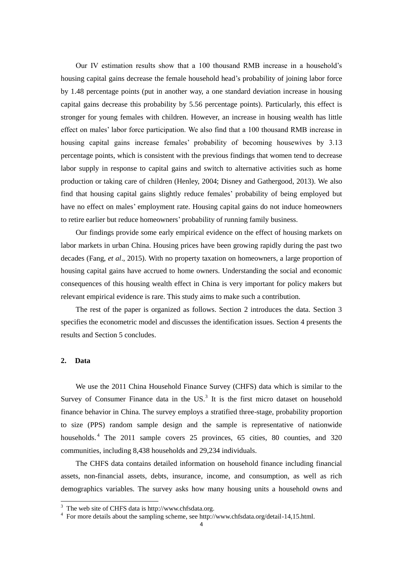Our IV estimation results show that a 100 thousand RMB increase in a household's housing capital gains decrease the female household head's probability of joining labor force by 1.48 percentage points (put in another way, a one standard deviation increase in housing capital gains decrease this probability by 5.56 percentage points). Particularly, this effect is stronger for young females with children. However, an increase in housing wealth has little effect on males' labor force participation. We also find that a 100 thousand RMB increase in housing capital gains increase females' probability of becoming housewives by 3.13 percentage points, which is consistent with the previous findings that women tend to decrease labor supply in response to capital gains and switch to alternative activities such as home production or taking care of children (Henley, 2004; Disney and Gathergood, 2013). We also find that housing capital gains slightly reduce females' probability of being employed but have no effect on males' employment rate. Housing capital gains do not induce homeowners to retire earlier but reduce homeowners' probability of running family business.

Our findings provide some early empirical evidence on the effect of housing markets on labor markets in urban China. Housing prices have been growing rapidly during the past two decades (Fang, *et al*., 2015). With no property taxation on homeowners, a large proportion of housing capital gains have accrued to home owners. Understanding the social and economic consequences of this housing wealth effect in China is very important for policy makers but relevant empirical evidence is rare. This study aims to make such a contribution.

The rest of the paper is organized as follows. Section 2 introduces the data. Section 3 specifies the econometric model and discusses the identification issues. Section 4 presents the results and Section 5 concludes.

## **2. Data**

 $\overline{a}$ 

We use the 2011 China Household Finance Survey (CHFS) data which is similar to the Survey of Consumer Finance data in the  $US<sup>3</sup>$  It is the first micro dataset on household finance behavior in China. The survey employs a stratified three-stage, probability proportion to size (PPS) random sample design and the sample is representative of nationwide households.<sup>4</sup> The 2011 sample covers 25 provinces, 65 cities, 80 counties, and 320 communities, including 8,438 households and 29,234 individuals.

The CHFS data contains detailed information on household finance including financial assets, non-financial assets, debts, insurance, income, and consumption, as well as rich demographics variables. The survey asks how many housing units a household owns and

 $3$  The web site of CHFS data is http://www.chfsdata.org.

<sup>&</sup>lt;sup>4</sup> For more details about the sampling scheme, see http://www.chfsdata.org/detail-14,15.html.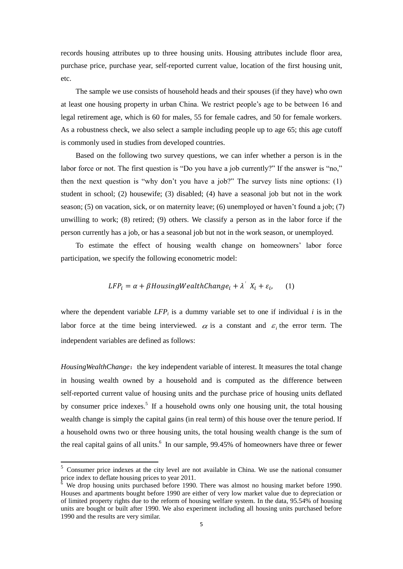records housing attributes up to three housing units. Housing attributes include floor area, purchase price, purchase year, self-reported current value, location of the first housing unit, etc.

The sample we use consists of household heads and their spouses (if they have) who own at least one housing property in urban China. We restrict people's age to be between 16 and legal retirement age, which is 60 for males, 55 for female cadres, and 50 for female workers. As a robustness check, we also select a sample including people up to age 65; this age cutoff is commonly used in studies from developed countries.

Based on the following two survey questions, we can infer whether a person is in the labor force or not. The first question is "Do you have a job currently?" If the answer is "no," then the next question is "why don't you have a job?" The survey lists nine options:  $(1)$ student in school; (2) housewife; (3) disabled; (4) have a seasonal job but not in the work season; (5) on vacation, sick, or on maternity leave; (6) unemployed or haven't found a job; (7) unwilling to work; (8) retired; (9) others. We classify a person as in the labor force if the person currently has a job, or has a seasonal job but not in the work season, or unemployed.

To estimate the effect of housing wealth change on homeowners' labor force participation, we specify the following econometric model:

$$
LFP_i = \alpha + \beta HousingWeather Change_i + \lambda^{\prime} X_i + \varepsilon_i, \qquad (1)
$$

where the dependent variable  $LFP_i$  is a dummy variable set to one if individual *i* is in the labor force at the time being interviewed.  $\alpha$  is a constant and  $\varepsilon$ <sub>i</sub> the error term. The independent variables are defined as follows:

*HousingWealthChange*: the key independent variable of interest. It measures the total change in housing wealth owned by a household and is computed as the difference between self-reported current value of housing units and the purchase price of housing units deflated by consumer price indexes.<sup>5</sup> If a household owns only one housing unit, the total housing wealth change is simply the capital gains (in real term) of this house over the tenure period. If a household owns two or three housing units, the total housing wealth change is the sum of the real capital gains of all units.<sup>6</sup> In our sample, 99.45% of homeowners have three or fewer

<sup>&</sup>lt;sup>5</sup> Consumer price indexes at the city level are not available in China. We use the national consumer price index to deflate housing prices to year 2011.

We drop housing units purchased before 1990. There was almost no housing market before 1990. Houses and apartments bought before 1990 are either of very low market value due to depreciation or of limited property rights due to the reform of housing welfare system. In the data, 95.54% of housing units are bought or built after 1990. We also experiment including all housing units purchased before 1990 and the results are very similar.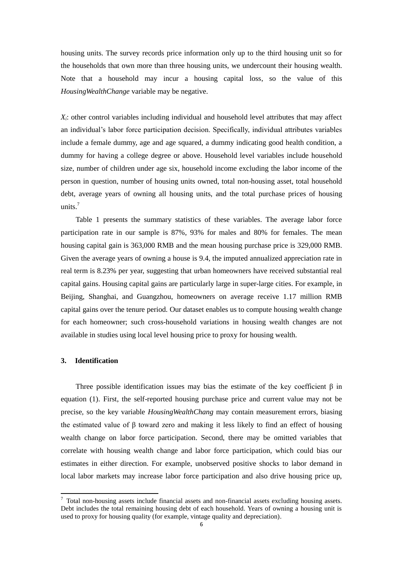housing units. The survey records price information only up to the third housing unit so for the households that own more than three housing units, we undercount their housing wealth. Note that a household may incur a housing capital loss, so the value of this *HousingWealthChange* variable may be negative.

*Xi* : other control variables including individual and household level attributes that may affect an individual's labor force participation decision. Specifically, individual attributes variables include a female dummy, age and age squared, a dummy indicating good health condition, a dummy for having a college degree or above. Household level variables include household size, number of children under age six, household income excluding the labor income of the person in question, number of housing units owned, total non-housing asset, total household debt, average years of owning all housing units, and the total purchase prices of housing units.<sup>7</sup>

Table 1 presents the summary statistics of these variables. The average labor force participation rate in our sample is 87%, 93% for males and 80% for females. The mean housing capital gain is 363,000 RMB and the mean housing purchase price is 329,000 RMB. Given the average years of owning a house is 9.4, the imputed annualized appreciation rate in real term is 8.23% per year, suggesting that urban homeowners have received substantial real capital gains. Housing capital gains are particularly large in super-large cities. For example, in Beijing, Shanghai, and Guangzhou, homeowners on average receive 1.17 million RMB capital gains over the tenure period. Our dataset enables us to compute housing wealth change for each homeowner; such cross-household variations in housing wealth changes are not available in studies using local level housing price to proxy for housing wealth.

# **3. Identification**

 $\overline{a}$ 

Three possible identification issues may bias the estimate of the key coefficient  $\beta$  in equation (1). First, the self-reported housing purchase price and current value may not be precise, so the key variable *HousingWealthChang* may contain measurement errors, biasing the estimated value of  $\beta$  toward zero and making it less likely to find an effect of housing wealth change on labor force participation. Second, there may be omitted variables that correlate with housing wealth change and labor force participation, which could bias our estimates in either direction. For example, unobserved positive shocks to labor demand in local labor markets may increase labor force participation and also drive housing price up,

 $7$  Total non-housing assets include financial assets and non-financial assets excluding housing assets. Debt includes the total remaining housing debt of each household. Years of owning a housing unit is used to proxy for housing quality (for example, vintage quality and depreciation).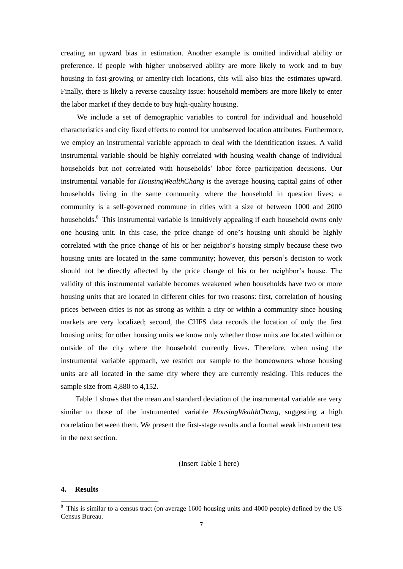creating an upward bias in estimation. Another example is omitted individual ability or preference. If people with higher unobserved ability are more likely to work and to buy housing in fast-growing or amenity-rich locations, this will also bias the estimates upward. Finally, there is likely a reverse causality issue: household members are more likely to enter the labor market if they decide to buy high-quality housing.

We include a set of demographic variables to control for individual and household characteristics and city fixed effects to control for unobserved location attributes. Furthermore, we employ an instrumental variable approach to deal with the identification issues. A valid instrumental variable should be highly correlated with housing wealth change of individual households but not correlated with households' labor force participation decisions. Our instrumental variable for *HousingWealthChang* is the average housing capital gains of other households living in the same community where the household in question lives; a community is a self-governed commune in cities with a size of between 1000 and 2000 households.<sup>8</sup> This instrumental variable is intuitively appealing if each household owns only one housing unit. In this case, the price change of one's housing unit should be highly correlated with the price change of his or her neighbor's housing simply because these two housing units are located in the same community; however, this person's decision to work should not be directly affected by the price change of his or her neighbor's house. The validity of this instrumental variable becomes weakened when households have two or more housing units that are located in different cities for two reasons: first, correlation of housing prices between cities is not as strong as within a city or within a community since housing markets are very localized; second, the CHFS data records the location of only the first housing units; for other housing units we know only whether those units are located within or outside of the city where the household currently lives. Therefore, when using the instrumental variable approach, we restrict our sample to the homeowners whose housing units are all located in the same city where they are currently residing. This reduces the sample size from 4,880 to 4,152.

Table 1 shows that the mean and standard deviation of the instrumental variable are very similar to those of the instrumented variable *HousingWealthChang*, suggesting a high correlation between them. We present the first-stage results and a formal weak instrument test in the next section.

(Insert Table 1 here)

#### **4. Results**

 $8$  This is similar to a census tract (on average 1600 housing units and 4000 people) defined by the US Census Bureau.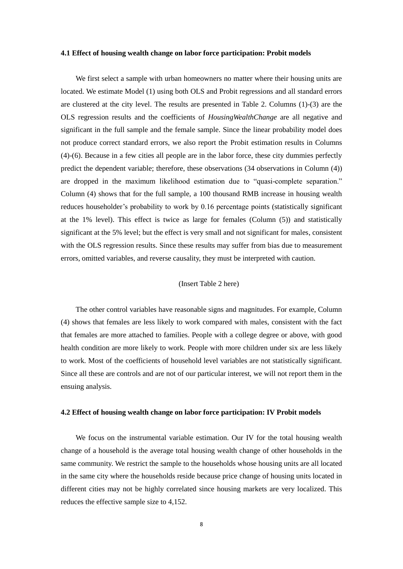#### **4.1 Effect of housing wealth change on labor force participation: Probit models**

We first select a sample with urban homeowners no matter where their housing units are located. We estimate Model (1) using both OLS and Probit regressions and all standard errors are clustered at the city level. The results are presented in Table 2. Columns (1)-(3) are the OLS regression results and the coefficients of *HousingWealthChange* are all negative and significant in the full sample and the female sample. Since the linear probability model does not produce correct standard errors, we also report the Probit estimation results in Columns (4)-(6). Because in a few cities all people are in the labor force, these city dummies perfectly predict the dependent variable; therefore, these observations (34 observations in Column (4)) are dropped in the maximum likelihood estimation due to "quasi-complete separation." Column (4) shows that for the full sample, a 100 thousand RMB increase in housing wealth reduces householder's probability to work by 0.16 percentage points (statistically significant at the 1% level). This effect is twice as large for females (Column (5)) and statistically significant at the 5% level; but the effect is very small and not significant for males, consistent with the OLS regression results. Since these results may suffer from bias due to measurement errors, omitted variables, and reverse causality, they must be interpreted with caution.

#### (Insert Table 2 here)

 The other control variables have reasonable signs and magnitudes. For example, Column (4) shows that females are less likely to work compared with males, consistent with the fact that females are more attached to families. People with a college degree or above, with good health condition are more likely to work. People with more children under six are less likely to work. Most of the coefficients of household level variables are not statistically significant. Since all these are controls and are not of our particular interest, we will not report them in the ensuing analysis.

#### **4.2 Effect of housing wealth change on labor force participation: IV Probit models**

We focus on the instrumental variable estimation. Our IV for the total housing wealth change of a household is the average total housing wealth change of other households in the same community. We restrict the sample to the households whose housing units are all located in the same city where the households reside because price change of housing units located in different cities may not be highly correlated since housing markets are very localized. This reduces the effective sample size to 4,152.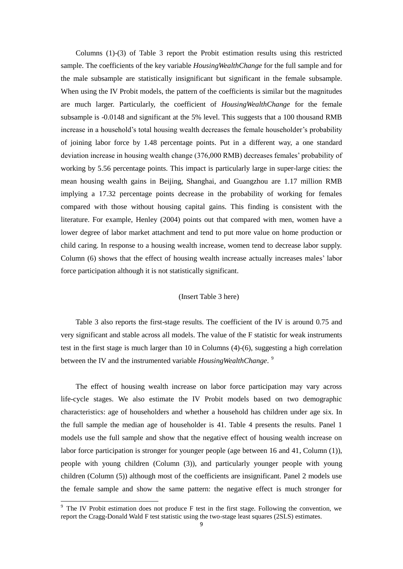Columns (1)-(3) of Table 3 report the Probit estimation results using this restricted sample. The coefficients of the key variable *HousingWealthChange* for the full sample and for the male subsample are statistically insignificant but significant in the female subsample. When using the IV Probit models, the pattern of the coefficients is similar but the magnitudes are much larger. Particularly, the coefficient of *HousingWealthChange* for the female subsample is -0.0148 and significant at the 5% level. This suggests that a 100 thousand RMB increase in a household's total housing wealth decreases the female householder's probability of joining labor force by 1.48 percentage points. Put in a different way, a one standard deviation increase in housing wealth change (376,000 RMB) decreases females' probability of working by 5.56 percentage points. This impact is particularly large in super-large cities: the mean housing wealth gains in Beijing, Shanghai, and Guangzhou are 1.17 million RMB implying a 17.32 percentage points decrease in the probability of working for females compared with those without housing capital gains. This finding is consistent with the literature. For example, Henley (2004) points out that compared with men, women have a lower degree of labor market attachment and tend to put more value on home production or child caring. In response to a housing wealth increase, women tend to decrease labor supply. Column (6) shows that the effect of housing wealth increase actually increases males' labor force participation although it is not statistically significant.

#### (Insert Table 3 here)

Table 3 also reports the first-stage results. The coefficient of the IV is around 0.75 and very significant and stable across all models. The value of the F statistic for weak instruments test in the first stage is much larger than 10 in Columns (4)-(6), suggesting a high correlation between the IV and the instrumented variable *HousingWealthChange*. 9

The effect of housing wealth increase on labor force participation may vary across life-cycle stages. We also estimate the IV Probit models based on two demographic characteristics: age of householders and whether a household has children under age six. In the full sample the median age of householder is 41. Table 4 presents the results. Panel 1 models use the full sample and show that the negative effect of housing wealth increase on labor force participation is stronger for younger people (age between 16 and 41, Column (1)), people with young children (Column (3)), and particularly younger people with young children (Column (5)) although most of the coefficients are insignificant. Panel 2 models use the female sample and show the same pattern: the negative effect is much stronger for

 $9$  The IV Probit estimation does not produce F test in the first stage. Following the convention, we report the Cragg-Donald Wald F test statistic using the two-stage least squares (2SLS) estimates.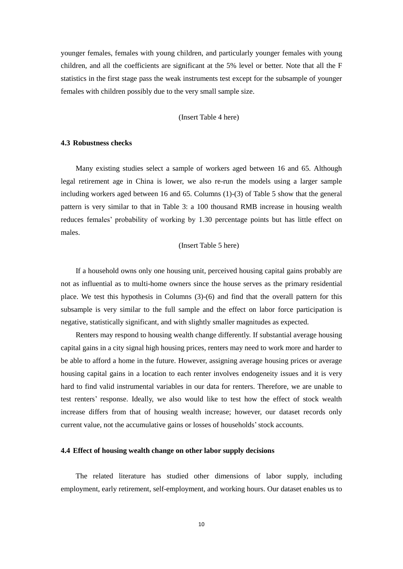younger females, females with young children, and particularly younger females with young children, and all the coefficients are significant at the 5% level or better. Note that all the F statistics in the first stage pass the weak instruments test except for the subsample of younger females with children possibly due to the very small sample size.

#### (Insert Table 4 here)

#### **4.3 Robustness checks**

Many existing studies select a sample of workers aged between 16 and 65. Although legal retirement age in China is lower, we also re-run the models using a larger sample including workers aged between 16 and 65. Columns (1)-(3) of Table 5 show that the general pattern is very similar to that in Table 3: a 100 thousand RMB increase in housing wealth reduces females' probability of working by 1.30 percentage points but has little effect on males.

#### (Insert Table 5 here)

If a household owns only one housing unit, perceived housing capital gains probably are not as influential as to multi-home owners since the house serves as the primary residential place. We test this hypothesis in Columns (3)-(6) and find that the overall pattern for this subsample is very similar to the full sample and the effect on labor force participation is negative, statistically significant, and with slightly smaller magnitudes as expected.

Renters may respond to housing wealth change differently. If substantial average housing capital gains in a city signal high housing prices, renters may need to work more and harder to be able to afford a home in the future. However, assigning average housing prices or average housing capital gains in a location to each renter involves endogeneity issues and it is very hard to find valid instrumental variables in our data for renters. Therefore, we are unable to test renters' response. Ideally, we also would like to test how the effect of stock wealth increase differs from that of housing wealth increase; however, our dataset records only current value, not the accumulative gains or losses of households'stock accounts.

#### **4.4 Effect of housing wealth change on other labor supply decisions**

The related literature has studied other dimensions of labor supply, including employment, early retirement, self-employment, and working hours. Our dataset enables us to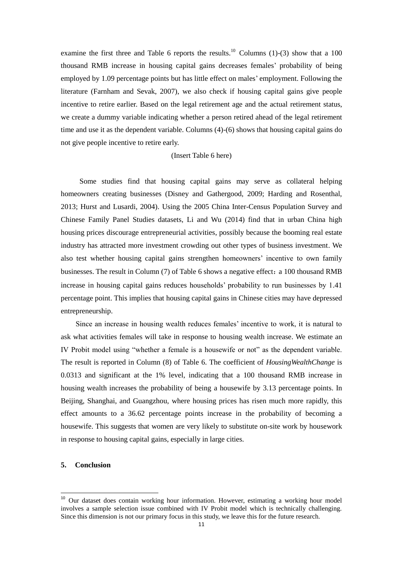examine the first three and Table 6 reports the results.<sup>10</sup> Columns (1)-(3) show that a 100 thousand RMB increase in housing capital gains decreases females' probability of being employed by 1.09 percentage points but has little effect on males' employment. Following the literature (Farnham and Sevak, 2007), we also check if housing capital gains give people incentive to retire earlier. Based on the legal retirement age and the actual retirement status, we create a dummy variable indicating whether a person retired ahead of the legal retirement time and use it as the dependent variable. Columns (4)-(6) shows that housing capital gains do not give people incentive to retire early.

#### (Insert Table 6 here)

 Some studies find that housing capital gains may serve as collateral helping homeowners creating businesses (Disney and Gathergood, 2009; Harding and Rosenthal, 2013; Hurst and Lusardi, 2004). Using the 2005 China Inter-Census Population Survey and Chinese Family Panel Studies datasets, Li and Wu (2014) find that in urban China high housing prices discourage entrepreneurial activities, possibly because the booming real estate industry has attracted more investment crowding out other types of business investment. We also test whether housing capital gains strengthen homeowners' incentive to own family businesses. The result in Column (7) of Table 6 shows a negative effect: a 100 thousand RMB increase in housing capital gains reduces households' probability to run businesses by 1.41 percentage point. This implies that housing capital gains in Chinese cities may have depressed entrepreneurship.

Since an increase in housing wealth reduces females' incentive to work, it is natural to ask what activities females will take in response to housing wealth increase. We estimate an IV Probit model using "whether a female is a housewife or not" as the dependent variable. The result is reported in Column (8) of Table 6. The coefficient of *HousingWealthChange* is 0.0313 and significant at the 1% level, indicating that a 100 thousand RMB increase in housing wealth increases the probability of being a housewife by 3.13 percentage points. In Beijing, Shanghai, and Guangzhou, where housing prices has risen much more rapidly, this effect amounts to a 36.62 percentage points increase in the probability of becoming a housewife. This suggests that women are very likely to substitute on-site work by housework in response to housing capital gains, especially in large cities.

## **5. Conclusion**

<sup>&</sup>lt;sup>10</sup> Our dataset does contain working hour information. However, estimating a working hour model involves a sample selection issue combined with IV Probit model which is technically challenging. Since this dimension is not our primary focus in this study, we leave this for the future research.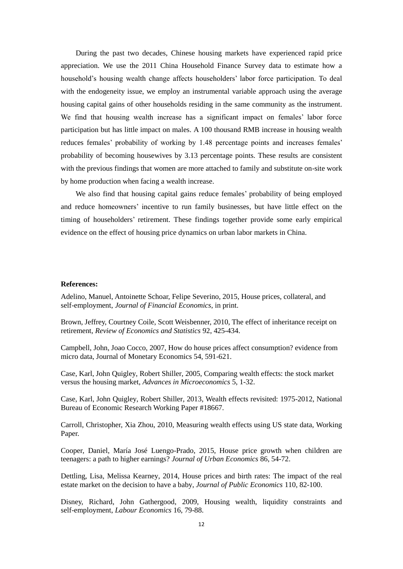During the past two decades, Chinese housing markets have experienced rapid price appreciation. We use the 2011 China Household Finance Survey data to estimate how a household's housing wealth change affects householders' labor force participation. To deal with the endogeneity issue, we employ an instrumental variable approach using the average housing capital gains of other households residing in the same community as the instrument. We find that housing wealth increase has a significant impact on females' labor force participation but has little impact on males. A 100 thousand RMB increase in housing wealth reduces females' probability of working by 1.48 percentage points and increases females' probability of becoming housewives by 3.13 percentage points. These results are consistent with the previous findings that women are more attached to family and substitute on-site work by home production when facing a wealth increase.

We also find that housing capital gains reduce females' probability of being employed and reduce homeowners' incentive to run family businesses, but have little effect on the timing of householders' retirement. These findings together provide some early empirical evidence on the effect of housing price dynamics on urban labor markets in China.

#### **References:**

Adelino, Manuel, Antoinette Schoar, Felipe Severino, 2015, House prices, collateral, and self-employment, *Journal of Financial Economics*, in print.

Brown, Jeffrey, Courtney Coile, Scott Weisbenner, 2010, The effect of inheritance receipt on retirement, *Review of Economics and Statistics* 92, 425-434.

Campbell, John, Joao Cocco, 2007, How do house prices affect consumption? evidence from micro data, Journal of Monetary Economics 54, 591-621.

Case, Karl, John Quigley, Robert Shiller, 2005, Comparing wealth effects: the stock market versus the housing market, *Advances in Microeconomics* 5, 1-32.

Case, Karl, John Quigley, Robert Shiller, 2013, Wealth effects revisited: 1975-2012, National Bureau of Economic Research Working Paper #18667.

Carroll, Christopher, Xia Zhou, 2010, Measuring wealth effects using US state data, Working Paper.

Cooper, Daniel, María José Luengo-Prado, 2015, House price growth when children are teenagers: a path to higher earnings? *Journal of Urban Economics* 86, 54-72.

Dettling, Lisa, Melissa Kearney, 2014, House prices and birth rates: The impact of the real estate market on the decision to have a baby, *Journal of Public Economics* 110, 82-100.

Disney, Richard, John Gathergood, 2009, Housing wealth, liquidity constraints and self-employment, *Labour Economics* 16, 79-88.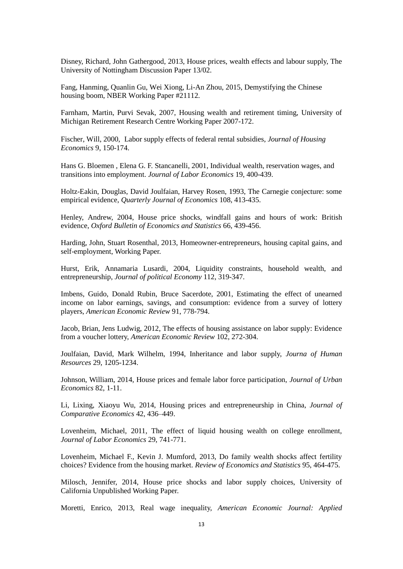Disney, Richard, John Gathergood, 2013, House prices, wealth effects and labour supply, The University of Nottingham Discussion Paper 13/02.

Fang, Hanming, Quanlin Gu, Wei Xiong, Li-An Zhou, 2015, Demystifying the Chinese housing boom, NBER Working Paper #21112.

Farnham, Martin, Purvi Sevak, 2007, Housing wealth and retirement timing, University of Michigan Retirement Research Centre Working Paper 2007-172.

Fischer, Will, 2000, Labor supply effects of federal rental subsidies, *Journal of Housing Economics* 9, 150-174.

Hans G. Bloemen , Elena G. F. Stancanelli, 2001, Individual wealth, reservation wages, and transitions into employment. *Journal of Labor Economics* 19, 400-439.

Holtz-Eakin, Douglas, David Joulfaian, Harvey Rosen, 1993, The Carnegie conjecture: some empirical evidence, *Quarterly Journal of Economics* 108, 413-435.

Henley, Andrew, 2004, House price shocks, windfall gains and hours of work: British evidence, *Oxford Bulletin of Economics and Statistics* 66, 439-456.

Harding, John, Stuart Rosenthal, 2013, Homeowner-entrepreneurs, housing capital gains, and self-employment, Working Paper.

Hurst, Erik, Annamaria Lusardi, 2004, Liquidity constraints, household wealth, and entrepreneurship, *Journal of political Economy* 112, 319-347.

Imbens, Guido, Donald Rubin, Bruce Sacerdote, 2001, Estimating the effect of unearned income on labor earnings, savings, and consumption: evidence from a survey of lottery players, *American Economic Review* 91, 778-794.

Jacob, Brian, Jens Ludwig, 2012, The effects of housing assistance on labor supply: Evidence from a voucher lottery, *American Economic Review* 102, 272-304.

Joulfaian, David, Mark Wilhelm, 1994, Inheritance and labor supply, *Journa of Human Resources* 29, 1205-1234.

Johnson, William, 2014, House prices and female labor force participation, *Journal of Urban Economics* 82, 1-11.

Li, Lixing, Xiaoyu Wu, 2014, Housing prices and entrepreneurship in China, *Journal of Comparative Economics* 42, 436–449.

Lovenheim, Michael, 2011, The effect of liquid housing wealth on college enrollment, *Journal of Labor Economics* 29, 741-771.

Lovenheim, Michael F., Kevin J. Mumford, 2013, Do family wealth shocks affect fertility choices? Evidence from the housing market. *Review of Economics and Statistics* 95, 464-475.

Milosch, Jennifer, 2014, House price shocks and labor supply choices, University of California Unpublished Working Paper.

Moretti, Enrico, 2013, Real wage inequality, *American Economic Journal: Applied*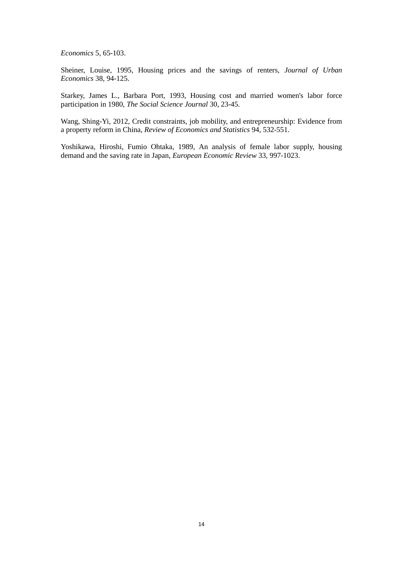*Economics* 5, 65-103.

Sheiner, Louise, 1995, Housing prices and the savings of renters, *Journal of Urban Economics* 38, 94-125.

Starkey, James L., Barbara Port, 1993, Housing cost and married women's labor force participation in 1980, *The Social Science Journal* 30, 23-45.

Wang, Shing-Yi, 2012, Credit constraints, job mobility, and entrepreneurship: Evidence from a property reform in China, *Review of Economics and Statistics* 94, 532-551.

Yoshikawa, Hiroshi, Fumio Ohtaka, 1989, An analysis of female labor supply, housing demand and the saving rate in Japan, *European Economic Review* 33, 997-1023.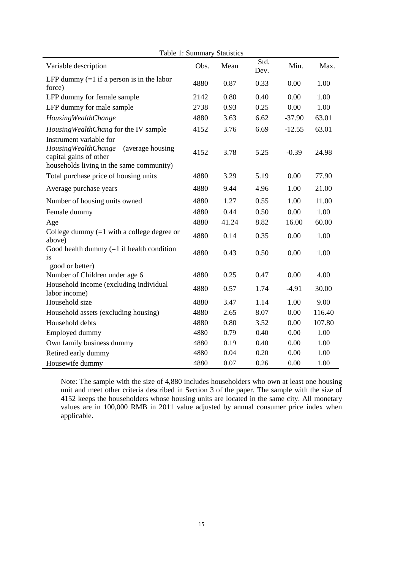| Variable description                                                                                                                       | Obs. | Table 1. Summary Statistics<br>Mean | Std. | Min.     | Max.   |
|--------------------------------------------------------------------------------------------------------------------------------------------|------|-------------------------------------|------|----------|--------|
|                                                                                                                                            |      |                                     | Dev. |          |        |
| LFP dummy $(=1$ if a person is in the labor<br>force)                                                                                      | 4880 | 0.87                                | 0.33 | 0.00     | 1.00   |
| LFP dummy for female sample                                                                                                                | 2142 | 0.80                                | 0.40 | 0.00     | 1.00   |
| LFP dummy for male sample                                                                                                                  | 2738 | 0.93                                | 0.25 | 0.00     | 1.00   |
| Housing Wealth Change                                                                                                                      | 4880 | 3.63                                | 6.62 | $-37.90$ | 63.01  |
| Housing Wealth Chang for the IV sample                                                                                                     | 4152 | 3.76                                | 6.69 | $-12.55$ | 63.01  |
| Instrument variable for<br>Housing Wealth Change<br>(average housing<br>capital gains of other<br>households living in the same community) | 4152 | 3.78                                | 5.25 | $-0.39$  | 24.98  |
| Total purchase price of housing units                                                                                                      | 4880 | 3.29                                | 5.19 | 0.00     | 77.90  |
| Average purchase years                                                                                                                     | 4880 | 9.44                                | 4.96 | 1.00     | 21.00  |
| Number of housing units owned                                                                                                              | 4880 | 1.27                                | 0.55 | 1.00     | 11.00  |
| Female dummy                                                                                                                               | 4880 | 0.44                                | 0.50 | 0.00     | 1.00   |
| Age                                                                                                                                        | 4880 | 41.24                               | 8.82 | 16.00    | 60.00  |
| College dummy $(=1$ with a college degree or<br>above)                                                                                     | 4880 | 0.14                                | 0.35 | 0.00     | 1.00   |
| Good health dummy $(=1$ if health condition<br>is                                                                                          | 4880 | 0.43                                | 0.50 | 0.00     | 1.00   |
| good or better)                                                                                                                            |      |                                     |      |          |        |
| Number of Children under age 6                                                                                                             | 4880 | 0.25                                | 0.47 | 0.00     | 4.00   |
| Household income (excluding individual<br>labor income)                                                                                    | 4880 | 0.57                                | 1.74 | $-4.91$  | 30.00  |
| Household size                                                                                                                             | 4880 | 3.47                                | 1.14 | 1.00     | 9.00   |
| Household assets (excluding housing)                                                                                                       | 4880 | 2.65                                | 8.07 | 0.00     | 116.40 |
| Household debts                                                                                                                            | 4880 | 0.80                                | 3.52 | 0.00     | 107.80 |
| Employed dummy                                                                                                                             | 4880 | 0.79                                | 0.40 | 0.00     | 1.00   |
| Own family business dummy                                                                                                                  | 4880 | 0.19                                | 0.40 | 0.00     | 1.00   |
| Retired early dummy                                                                                                                        | 4880 | 0.04                                | 0.20 | 0.00     | 1.00   |
| Housewife dummy                                                                                                                            | 4880 | 0.07                                | 0.26 | 0.00     | 1.00   |

Table 1: Summary Statistics

Note: The sample with the size of 4,880 includes householders who own at least one housing unit and meet other criteria described in Section 3 of the paper. The sample with the size of 4152 keeps the householders whose housing units are located in the same city. All monetary values are in 100,000 RMB in 2011 value adjusted by annual consumer price index when applicable.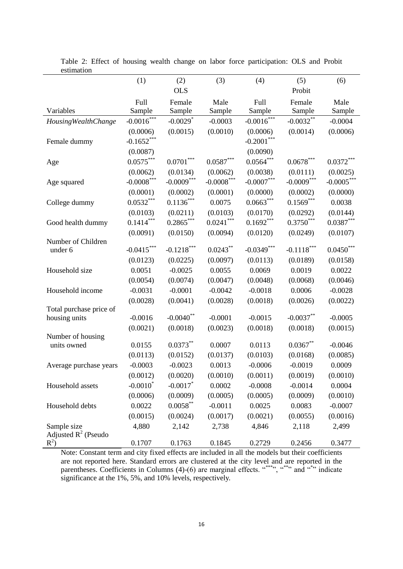| <b>OLS</b><br>Probit<br>Full<br>Male<br>Full<br>Female<br>Male<br>Female<br>Variables<br>Sample<br>Sample<br>Sample<br>Sample<br>Sample<br>Sample<br>$-0.0016$ ***<br>$-0.0016$ ***<br>$-0.0032***$<br>$-0.0029$ <sup>*</sup><br>$-0.0003$<br>$-0.0004$<br><b>Housing Wealth Change</b><br>(0.0010)<br>(0.0006)<br>(0.0006)<br>(0.0015)<br>(0.0006)<br>(0.0014)<br>$-0.1652***$<br>$-0.2001$ ***<br>Female dummy<br>(0.0090)<br>(0.0087)<br>$0.0701^{\ast\ast\ast}$<br>$0.0587^{\ast\ast\ast}$<br>$0.0678^{\ast\ast\ast}$<br>$0.0575***$<br>$0.0564***$<br>$0.0372^{\ast\ast\ast}$<br>Age<br>(0.0062)<br>(0.0134)<br>(0.0062)<br>(0.0038)<br>(0.0111)<br>(0.0025)<br>$-0.0009***$<br>$-0.0008^{***}\,$<br>$-0.0005***$<br>$-0.0008***$<br>$-0.0007***$<br>$-0.0009***$<br>Age squared<br>(0.0001)<br>(0.0002)<br>(0.0001)<br>(0.0000)<br>(0.0002)<br>(0.0000)<br>$0.1136^{***}$<br>$0.0532***$<br>$0.0663***$<br>$0.1569***$<br>0.0075<br>0.0038<br>College dummy<br>(0.0144)<br>(0.0103)<br>(0.0211)<br>(0.0103)<br>(0.0170)<br>(0.0292)<br>$0.1414***$<br>$0.2865***$<br>$0.0241***$<br>$0.1692***$<br>$0.3750***$<br>$0.0387***$<br>Good health dummy<br>(0.0091)<br>(0.0094)<br>(0.0120)<br>(0.0249)<br>(0.0107)<br>(0.0150)<br>Number of Children |         |              |              |               |              |              |                       |
|--------------------------------------------------------------------------------------------------------------------------------------------------------------------------------------------------------------------------------------------------------------------------------------------------------------------------------------------------------------------------------------------------------------------------------------------------------------------------------------------------------------------------------------------------------------------------------------------------------------------------------------------------------------------------------------------------------------------------------------------------------------------------------------------------------------------------------------------------------------------------------------------------------------------------------------------------------------------------------------------------------------------------------------------------------------------------------------------------------------------------------------------------------------------------------------------------------------------------------------------------------|---------|--------------|--------------|---------------|--------------|--------------|-----------------------|
|                                                                                                                                                                                                                                                                                                                                                                                                                                                                                                                                                                                                                                                                                                                                                                                                                                                                                                                                                                                                                                                                                                                                                                                                                                                        |         | (1)          | (2)          | (3)           | (4)          | (5)          | (6)                   |
|                                                                                                                                                                                                                                                                                                                                                                                                                                                                                                                                                                                                                                                                                                                                                                                                                                                                                                                                                                                                                                                                                                                                                                                                                                                        |         |              |              |               |              |              |                       |
|                                                                                                                                                                                                                                                                                                                                                                                                                                                                                                                                                                                                                                                                                                                                                                                                                                                                                                                                                                                                                                                                                                                                                                                                                                                        |         |              |              |               |              |              |                       |
|                                                                                                                                                                                                                                                                                                                                                                                                                                                                                                                                                                                                                                                                                                                                                                                                                                                                                                                                                                                                                                                                                                                                                                                                                                                        |         |              |              |               |              |              |                       |
|                                                                                                                                                                                                                                                                                                                                                                                                                                                                                                                                                                                                                                                                                                                                                                                                                                                                                                                                                                                                                                                                                                                                                                                                                                                        |         |              |              |               |              |              |                       |
|                                                                                                                                                                                                                                                                                                                                                                                                                                                                                                                                                                                                                                                                                                                                                                                                                                                                                                                                                                                                                                                                                                                                                                                                                                                        |         |              |              |               |              |              |                       |
|                                                                                                                                                                                                                                                                                                                                                                                                                                                                                                                                                                                                                                                                                                                                                                                                                                                                                                                                                                                                                                                                                                                                                                                                                                                        |         |              |              |               |              |              |                       |
|                                                                                                                                                                                                                                                                                                                                                                                                                                                                                                                                                                                                                                                                                                                                                                                                                                                                                                                                                                                                                                                                                                                                                                                                                                                        |         |              |              |               |              |              |                       |
|                                                                                                                                                                                                                                                                                                                                                                                                                                                                                                                                                                                                                                                                                                                                                                                                                                                                                                                                                                                                                                                                                                                                                                                                                                                        |         |              |              |               |              |              |                       |
|                                                                                                                                                                                                                                                                                                                                                                                                                                                                                                                                                                                                                                                                                                                                                                                                                                                                                                                                                                                                                                                                                                                                                                                                                                                        |         |              |              |               |              |              |                       |
|                                                                                                                                                                                                                                                                                                                                                                                                                                                                                                                                                                                                                                                                                                                                                                                                                                                                                                                                                                                                                                                                                                                                                                                                                                                        |         |              |              |               |              |              |                       |
|                                                                                                                                                                                                                                                                                                                                                                                                                                                                                                                                                                                                                                                                                                                                                                                                                                                                                                                                                                                                                                                                                                                                                                                                                                                        |         |              |              |               |              |              |                       |
|                                                                                                                                                                                                                                                                                                                                                                                                                                                                                                                                                                                                                                                                                                                                                                                                                                                                                                                                                                                                                                                                                                                                                                                                                                                        |         |              |              |               |              |              |                       |
|                                                                                                                                                                                                                                                                                                                                                                                                                                                                                                                                                                                                                                                                                                                                                                                                                                                                                                                                                                                                                                                                                                                                                                                                                                                        |         |              |              |               |              |              |                       |
|                                                                                                                                                                                                                                                                                                                                                                                                                                                                                                                                                                                                                                                                                                                                                                                                                                                                                                                                                                                                                                                                                                                                                                                                                                                        |         |              |              |               |              |              |                       |
|                                                                                                                                                                                                                                                                                                                                                                                                                                                                                                                                                                                                                                                                                                                                                                                                                                                                                                                                                                                                                                                                                                                                                                                                                                                        |         |              |              |               |              |              |                       |
|                                                                                                                                                                                                                                                                                                                                                                                                                                                                                                                                                                                                                                                                                                                                                                                                                                                                                                                                                                                                                                                                                                                                                                                                                                                        |         |              |              |               |              |              |                       |
|                                                                                                                                                                                                                                                                                                                                                                                                                                                                                                                                                                                                                                                                                                                                                                                                                                                                                                                                                                                                                                                                                                                                                                                                                                                        | under 6 | $-0.0415***$ | $-0.1218***$ | $0.0243^{**}$ | $-0.0349***$ | $-0.1118***$ | $0.0450^\mathrm{***}$ |
| (0.0097)<br>(0.0113)<br>(0.0123)<br>(0.0225)<br>(0.0189)<br>(0.0158)                                                                                                                                                                                                                                                                                                                                                                                                                                                                                                                                                                                                                                                                                                                                                                                                                                                                                                                                                                                                                                                                                                                                                                                   |         |              |              |               |              |              |                       |
| 0.0051<br>0.0055<br>0.0069<br>0.0019<br>0.0022<br>Household size<br>$-0.0025$                                                                                                                                                                                                                                                                                                                                                                                                                                                                                                                                                                                                                                                                                                                                                                                                                                                                                                                                                                                                                                                                                                                                                                          |         |              |              |               |              |              |                       |
| (0.0054)<br>(0.0074)<br>(0.0047)<br>(0.0048)<br>(0.0068)<br>(0.0046)                                                                                                                                                                                                                                                                                                                                                                                                                                                                                                                                                                                                                                                                                                                                                                                                                                                                                                                                                                                                                                                                                                                                                                                   |         |              |              |               |              |              |                       |
| Household income<br>$-0.0031$<br>$-0.0001$<br>$-0.0042$<br>$-0.0018$<br>0.0006<br>$-0.0028$                                                                                                                                                                                                                                                                                                                                                                                                                                                                                                                                                                                                                                                                                                                                                                                                                                                                                                                                                                                                                                                                                                                                                            |         |              |              |               |              |              |                       |
| (0.0028)<br>(0.0018)<br>(0.0026)<br>(0.0022)<br>(0.0028)<br>(0.0041)                                                                                                                                                                                                                                                                                                                                                                                                                                                                                                                                                                                                                                                                                                                                                                                                                                                                                                                                                                                                                                                                                                                                                                                   |         |              |              |               |              |              |                       |
| Total purchase price of                                                                                                                                                                                                                                                                                                                                                                                                                                                                                                                                                                                                                                                                                                                                                                                                                                                                                                                                                                                                                                                                                                                                                                                                                                |         |              |              |               |              |              |                       |
| $-0.0040$ **<br>$-0.0037**$<br>$-0.0016$<br>$-0.0001$<br>$-0.0015$<br>$-0.0005$<br>housing units                                                                                                                                                                                                                                                                                                                                                                                                                                                                                                                                                                                                                                                                                                                                                                                                                                                                                                                                                                                                                                                                                                                                                       |         |              |              |               |              |              |                       |
| (0.0021)<br>(0.0018)<br>(0.0018)<br>(0.0018)<br>(0.0015)<br>(0.0023)                                                                                                                                                                                                                                                                                                                                                                                                                                                                                                                                                                                                                                                                                                                                                                                                                                                                                                                                                                                                                                                                                                                                                                                   |         |              |              |               |              |              |                       |
| Number of housing<br>$0.0373***$<br>$0.0367**$<br>0.0113<br>0.0155<br>0.0007<br>$-0.0046$<br>units owned                                                                                                                                                                                                                                                                                                                                                                                                                                                                                                                                                                                                                                                                                                                                                                                                                                                                                                                                                                                                                                                                                                                                               |         |              |              |               |              |              |                       |
| (0.0113)<br>(0.0137)<br>(0.0103)<br>(0.0168)<br>(0.0085)<br>(0.0152)                                                                                                                                                                                                                                                                                                                                                                                                                                                                                                                                                                                                                                                                                                                                                                                                                                                                                                                                                                                                                                                                                                                                                                                   |         |              |              |               |              |              |                       |
| $-0.0003$<br>$-0.0023$<br>0.0013<br>$-0.0006$<br>$-0.0019$<br>0.0009<br>Average purchase years                                                                                                                                                                                                                                                                                                                                                                                                                                                                                                                                                                                                                                                                                                                                                                                                                                                                                                                                                                                                                                                                                                                                                         |         |              |              |               |              |              |                       |
| (0.0012)<br>(0.0020)<br>(0.0010)<br>(0.0011)<br>(0.0019)<br>(0.0010)                                                                                                                                                                                                                                                                                                                                                                                                                                                                                                                                                                                                                                                                                                                                                                                                                                                                                                                                                                                                                                                                                                                                                                                   |         |              |              |               |              |              |                       |
| $-0.0010^*$<br>$-0.0017$ *<br>0.0002<br>$-0.0008$<br>$-0.0014$<br>0.0004<br>Household assets                                                                                                                                                                                                                                                                                                                                                                                                                                                                                                                                                                                                                                                                                                                                                                                                                                                                                                                                                                                                                                                                                                                                                           |         |              |              |               |              |              |                       |
| (0.0009)<br>(0.0006)<br>(0.0005)<br>(0.0005)<br>(0.0009)<br>(0.0010)                                                                                                                                                                                                                                                                                                                                                                                                                                                                                                                                                                                                                                                                                                                                                                                                                                                                                                                                                                                                                                                                                                                                                                                   |         |              |              |               |              |              |                       |
| $0.0058***$<br>Household debts<br>$-0.0011$                                                                                                                                                                                                                                                                                                                                                                                                                                                                                                                                                                                                                                                                                                                                                                                                                                                                                                                                                                                                                                                                                                                                                                                                            |         |              |              |               |              |              |                       |
| 0.0022<br>0.0025<br>0.0083<br>$-0.0007$                                                                                                                                                                                                                                                                                                                                                                                                                                                                                                                                                                                                                                                                                                                                                                                                                                                                                                                                                                                                                                                                                                                                                                                                                |         |              |              |               |              |              |                       |
| (0.0015)<br>(0.0024)<br>(0.0017)<br>(0.0021)<br>(0.0055)<br>(0.0016)                                                                                                                                                                                                                                                                                                                                                                                                                                                                                                                                                                                                                                                                                                                                                                                                                                                                                                                                                                                                                                                                                                                                                                                   |         |              |              |               |              |              |                       |
| Sample size<br>4,880<br>2,142<br>2,738<br>4,846<br>2,118<br>2,499<br>Adjusted $R^2$ (Pseudo                                                                                                                                                                                                                                                                                                                                                                                                                                                                                                                                                                                                                                                                                                                                                                                                                                                                                                                                                                                                                                                                                                                                                            |         |              |              |               |              |              |                       |
| $R^2$ )<br>0.1707<br>0.1763<br>0.2729<br>0.2456<br>0.3477<br>0.1845                                                                                                                                                                                                                                                                                                                                                                                                                                                                                                                                                                                                                                                                                                                                                                                                                                                                                                                                                                                                                                                                                                                                                                                    |         |              |              |               |              |              |                       |

Table 2: Effect of housing wealth change on labor force participation: OLS and Probit estimation

Note: Constant term and city fixed effects are included in all the models but their coefficients are not reported here. Standard errors are clustered at the city level and are reported in the parentheses. Coefficients in Columns  $(4)$ - $(6)$  are marginal effects. "\*\*\*", "\*\*" and "\*" indicate significance at the 1%, 5%, and 10% levels, respectively.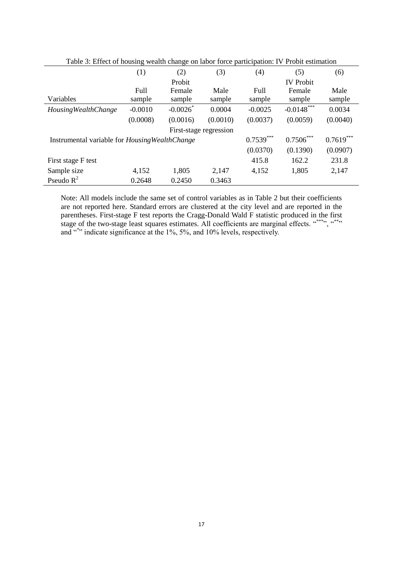|                                                        | (1)         | (2)       | (3)                    | (4)         | (5)              | (6)         |
|--------------------------------------------------------|-------------|-----------|------------------------|-------------|------------------|-------------|
|                                                        |             | Probit    |                        |             | <b>IV</b> Probit |             |
|                                                        | <b>Full</b> | Female    | Male                   | Full        | Female           | Male        |
| Variables                                              | sample      | sample    | sample                 | sample      | sample           | sample      |
| <b>Housing Wealth Change</b>                           | $-0.0010$   | $-0.0026$ | 0.0004                 | $-0.0025$   | $-0.0148$ ***    | 0.0034      |
|                                                        | (0.0008)    | (0.0016)  | (0.0010)               | (0.0037)    | (0.0059)         | (0.0040)    |
|                                                        |             |           | First-stage regression |             |                  |             |
| Instrumental variable for <i>Housing Wealth Change</i> |             |           |                        | $0.7539***$ | $0.7506***$      | $0.7619***$ |
|                                                        |             |           |                        | (0.0370)    | (0.1390)         | (0.0907)    |
| First stage F test                                     |             |           |                        | 415.8       | 162.2            | 231.8       |
| Sample size                                            | 4,152       | 1,805     | 2,147                  | 4,152       | 1,805            | 2,147       |
| Pseudo $R^2$                                           | 0.2648      | 0.2450    | 0.3463                 |             |                  |             |

Table 3: Effect of housing wealth change on labor force participation: IV Probit estimation

Note: All models include the same set of control variables as in Table 2 but their coefficients are not reported here. Standard errors are clustered at the city level and are reported in the parentheses. First-stage F test reports the Cragg-Donald Wald F statistic produced in the first stage of the two-stage least squares estimates. All coefficients are marginal effects.  $``^{***}$ ,  $``^{***}$ and  $x^*$  indicate significance at the 1%, 5%, and 10% levels, respectively.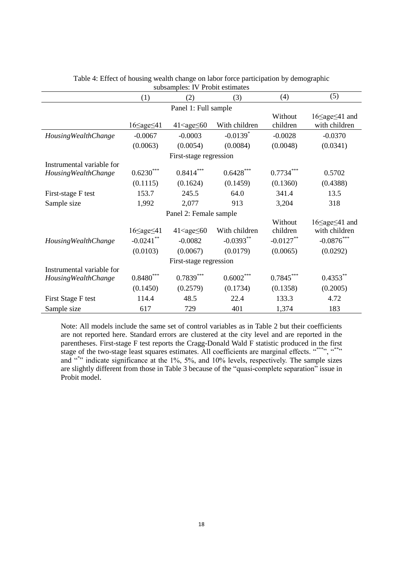| $\frac{1}{2}$                                             |                                                   |                                                |                                          |                                                |                                                                        |  |  |  |
|-----------------------------------------------------------|---------------------------------------------------|------------------------------------------------|------------------------------------------|------------------------------------------------|------------------------------------------------------------------------|--|--|--|
|                                                           | (1)                                               | (2)                                            | (3)                                      | (4)                                            | (5)                                                                    |  |  |  |
| Panel 1: Full sample                                      |                                                   |                                                |                                          |                                                |                                                                        |  |  |  |
|                                                           | $16 \leq age \leq 41$                             | $41 \leq age \leq 60$                          | With children                            | Without<br>children                            | $16 \leq age \leq 41$ and<br>with children                             |  |  |  |
| <b>Housing Wealth Change</b>                              | $-0.0067$                                         | $-0.0003$                                      | $-0.0139$ <sup>*</sup>                   | $-0.0028$                                      | $-0.0370$                                                              |  |  |  |
|                                                           | (0.0063)                                          | (0.0054)                                       | (0.0084)                                 | (0.0048)                                       | (0.0341)                                                               |  |  |  |
|                                                           |                                                   | First-stage regression                         |                                          |                                                |                                                                        |  |  |  |
| Instrumental variable for<br><b>Housing Wealth Change</b> | $0.6230^{*}$<br>(0.1115)                          | $0.8414***$<br>(0.1624)                        | $0.6428^{\ast\ast\ast}$<br>(0.1459)      | $0.7734^{*}$<br>(0.1360)                       | 0.5702<br>(0.4388)                                                     |  |  |  |
| First-stage F test                                        | 153.7                                             | 245.5                                          | 64.0                                     | 341.4                                          | 13.5                                                                   |  |  |  |
| Sample size                                               | 1,992                                             | 2,077                                          | 913                                      | 3,204                                          | 318                                                                    |  |  |  |
| Panel 2: Female sample                                    |                                                   |                                                |                                          |                                                |                                                                        |  |  |  |
| <b>Housing Wealth Change</b>                              | $16 \leq age \leq 41$<br>$-0.0241$ **<br>(0.0103) | $41 \leq age \leq 60$<br>$-0.0082$<br>(0.0067) | With children<br>$-0.0393**$<br>(0.0179) | Without<br>children<br>$-0.0127**$<br>(0.0065) | $16 \leq age \leq 41$ and<br>with children<br>$-0.0876***$<br>(0.0292) |  |  |  |
|                                                           |                                                   | First-stage regression                         |                                          |                                                |                                                                        |  |  |  |
| Instrumental variable for<br><b>Housing Wealth Change</b> | $0.8480^{\ast\ast\ast}$                           | $0.7839***$                                    | $0.6002^{***}$                           | $0.7845***$                                    | $0.4353***$                                                            |  |  |  |
|                                                           | (0.1450)                                          | (0.2579)                                       | (0.1734)                                 | (0.1358)                                       | (0.2005)                                                               |  |  |  |
| First Stage F test                                        | 114.4                                             | 48.5                                           | 22.4                                     | 133.3                                          | 4.72                                                                   |  |  |  |
| Sample size                                               | 617                                               | 729                                            | 401                                      | 1,374                                          | 183                                                                    |  |  |  |

| Table 4: Effect of housing wealth change on labor force participation by demographic |
|--------------------------------------------------------------------------------------|
| subsamples: IV Probit estimates                                                      |

Note: All models include the same set of control variables as in Table 2 but their coefficients are not reported here. Standard errors are clustered at the city level and are reported in the parentheses. First-stage F test reports the Cragg-Donald Wald F statistic produced in the first stage of the two-stage least squares estimates. All coefficients are marginal effects.  $\cdots$ ,  $\cdots$ , and  $x^*$ , indicate significance at the 1%, 5%, and 10% levels, respectively. The sample sizes are slightly different from those in Table 3 because of the "quasi-complete separation" issue in Probit model.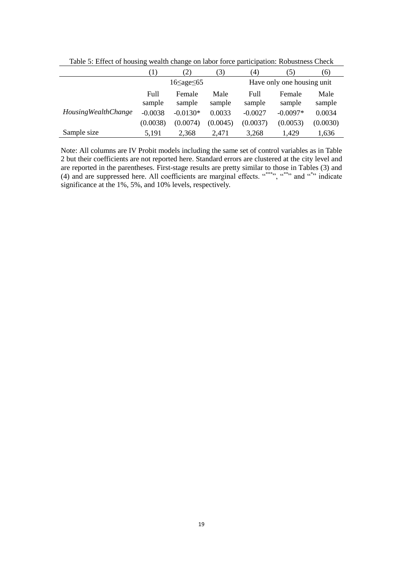|                              | $\left(1\right)$ | 2)                    | (3)            | 4)             | (5)                        | (6)            |
|------------------------------|------------------|-----------------------|----------------|----------------|----------------------------|----------------|
|                              |                  | $16 \leq age \leq 65$ |                |                | Have only one housing unit |                |
|                              | Full<br>sample   | Female<br>sample      | Male<br>sample | Full<br>sample | Female<br>sample           | Male<br>sample |
| <b>Housing Wealth Change</b> | $-0.0038$        | $-0.0130*$            | 0.0033         | $-0.0027$      | $-0.0097*$                 | 0.0034         |
|                              | (0.0038)         | (0.0074)              | (0.0045)       | (0.0037)       | (0.0053)                   | (0.0030)       |
| Sample size                  | 5,191            | 2.368                 | 2.471          | 3.268          | 1.429                      | 1,636          |

Table 5: Effect of housing wealth change on labor force participation: Robustness Check

Note: All columns are IV Probit models including the same set of control variables as in Table 2 but their coefficients are not reported here. Standard errors are clustered at the city level and are reported in the parentheses. First-stage results are pretty similar to those in Tables (3) and (4) and are suppressed here. All coefficients are marginal effects.  $\cdot$ <sup>\*\*\*\*</sup>",  $\cdot$ <sup>\*\*\*</sup>" and  $\cdot$ <sup>\*\*</sup>" indicate significance at the 1%, 5%, and 10% levels, respectively.